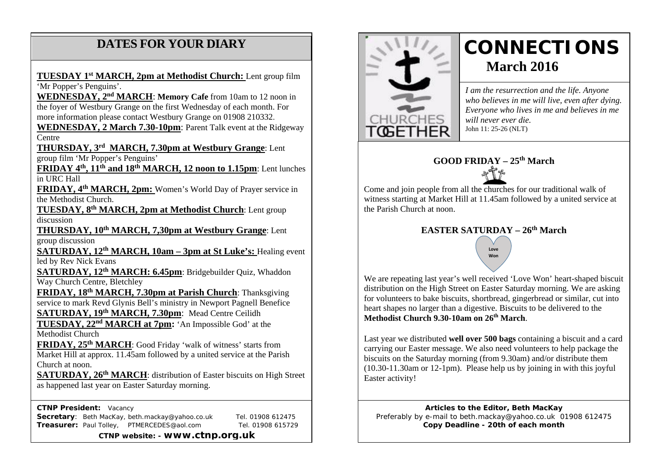## **DATES FOR YOUR DIARY**

**TUESDAY 1st MARCH, 2pm at Methodist Church:** Lent group film 'Mr Popper's Penguins'.

more information please contact Westbury Grange on 01908 210332. **WEDNESDAY, 2nd MARCH**: **Memory Cafe** from 10am to 12 noon in the foyer of Westbury Grange on the first Wednesday of each month. For

**WEDNESDAY, 2 March 7.30-10pm**: Parent Talk event at the Ridgeway Centre

**THURSDAY, 3rd MARCH, 7.30pm at Westbury Grange**: Lent group film 'Mr Popper's Penguins'

**FRIDAY 4th, 11th and 18th MARCH, 12 noon to 1.15pm**: Lent lunches in URC Hall

**FRIDAY, 4th MARCH, 2pm:** Women's World Day of Prayer service in the Methodist Church.

**TUESDAY, 8th MARCH, 2pm at Methodist Church**: Lent group discussion

**THURSDAY, 10th MARCH, 7,30pm at Westbury Grange**: Lent group discussion

**SATURDAY, 12th MARCH, 10am – 3pm at St Luke's:** Healing event led by Rev Nick Evans

**SATURDAY, 12th MARCH: 6.45pm**: Bridgebuilder Quiz, Whaddon Way Church Centre, Bletchley

**FRIDAY, 18th MARCH, 7.30pm at Parish Church**: Thanksgiving service to mark Revd Glynis Bell's ministry in Newport Pagnell Benefice **SATURDAY, 19th MARCH, 7.30pm**: Mead Centre Ceilidh

**TUESDAY, 22nd MARCH at 7pm:** 'An Impossible God' at the Methodist Church

**FRIDAY, 25<sup>th</sup> MARCH**: Good Friday 'walk of witness' starts from Market Hill at approx. 11.45am followed by a united service at the Parish Church at noon.

**SATURDAY, 26th MARCH**: distribution of Easter biscuits on High Street as happened last year on Easter Saturday morning.

 **CTNP President:** Vacancy

**Secretary**: Beth MacKay, beth.mackay@yahoo.co.uk Tel. 01908 612475 **Treasurer:** Paul Tolley, PTMERCEDES@aol.com Tel. 01908 615729

**CTNP website: - www.ctnp.org.uk**



# **CONNECTIONS March 2016**

*I am the resurrection and the life. Anyone who believes in me will live, even after dying. Everyone who lives in me and believes in me will never ever die.* John 11: 25-26 (NLT)

**GOOD FRIDAY – 25th March**



Come and join people from all the churches for our traditional walk of witness starting at Market Hill at 11.45am followed by a united service at the Parish Church at noon.

### **EASTER SATURDAY – 26th March**

**Love Won**

We are repeating last year's well received 'Love Won' heart-shaped biscuit distribution on the High Street on Easter Saturday morning. We are asking for volunteers to bake biscuits, shortbread, gingerbread or similar, cut into heart shapes no larger than a digestive. Biscuits to be delivered to the **Methodist Church 9.30-10am on 26th March**.

Last year we distributed **well over 500 bags** containing a biscuit and a card carrying our Easter message. We also need volunteers to help package the biscuits on the Saturday morning (from 9.30am) and/or distribute them (10.30-11.30am or 12-1pm). Please help us by joining in with this joyful Easter activity!

**Articles to the Editor, Beth MacKay** Preferably by e-mail to beth.mackay@yahoo.co.uk 01908 612475 **Copy Deadline - 20th of each month**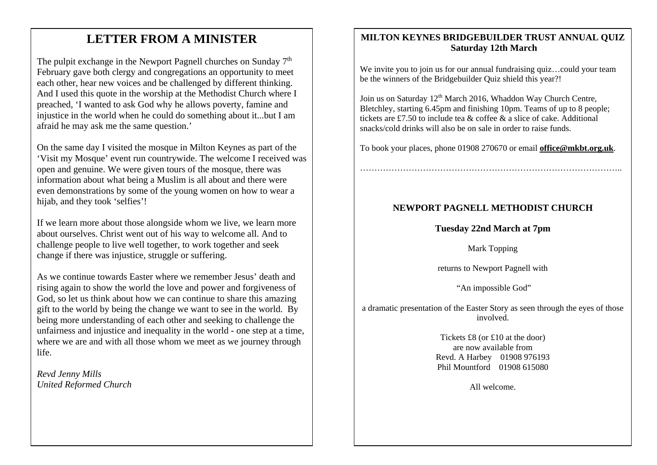# mee **LETTER FROM A MINISTER**

The pulpit exchange in the Newport Pagnell churches on Sunday  $7<sup>th</sup>$ February gave both clergy and congregations an opportunity to meet each other, hear new voices and be challenged by different thinking. And I used this quote in the worship at the Methodist Church where I preached, 'I wanted to ask God why he allows poverty, famine and injustice in the world when he could do something about it...but I am afraid he may ask me the same question.'

On the same day I visited the mosque in Milton Keynes as part of the 'Visit my Mosque' event run countrywide. The welcome I received was open and genuine. We were given tours of the mosque, there was information about what being a Muslim is all about and there were even demonstrations by some of the young women on how to wear a hijab, and they took 'selfies'!

If we learn more about those alongside whom we live, we learn more about ourselves. Christ went out of his way to welcome all. And to challenge people to live well together, to work together and seek change if there was injustice, struggle or suffering.

As we continue towards Easter where we remember Jesus' death and rising again to show the world the love and power and forgiveness of God, so let us think about how we can continue to share this amazing gift to the world by being the change we want to see in the world. By being more understanding of each other and seeking to challenge the unfairness and injustice and inequality in the world - one step at a time, where we are and with all those whom we meet as we journey through life.

*Revd Jenny Mills United Reformed Church*

### **MILTON KEYNES BRIDGEBUILDER TRUST ANNUAL QUIZ Saturday 12th March**

We invite you to join us for our annual fundraising quiz...could your team be the winners of the Bridgebuilder Quiz shield this year?!

Join us on Saturday 12<sup>th</sup> March 2016, Whaddon Way Church Centre, Bletchley, starting 6.45pm and finishing 10pm. Teams of up to 8 people; tickets are £7.50 to include tea & coffee & a slice of cake. Additional snacks/cold drinks will also be on sale in order to raise funds.

To book your places, phone 01908 270670 or email **office@mkbt.org.uk**.

………………………………………………………………………………..

### **NEWPORT PAGNELL METHODIST CHURCH**

### **Tuesday 22nd March at 7pm**

Mark Topping

returns to Newport Pagnell with

"An impossible God"

a dramatic presentation of the Easter Story as seen through the eyes of those involved.

> Tickets £8 (or £10 at the door) are now available from Revd. A Harbey 01908 976193 Phil Mountford 01908 615080

> > All welcome.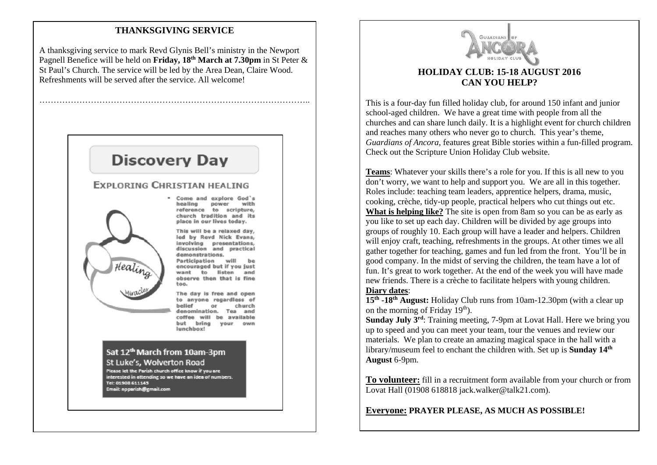### **THANKSGIVING SERVICE**

A thanksgiving service to mark Revd Glynis Bell's ministry in the Newport Pagnell Benefice will be held on **Friday, 18th March at 7.30pm** in St Peter & St Paul's Church. The service will be led by the Area Dean, Claire Wood. Refreshments will be served after the service. All welcome!

…………………………………………………………………………………..

# **Discovery Day**

### **EXPLORING CHRISTIAN HEALING**



Come and explore God's healing power with reference to scripture, church tradition and its place in our lives today.

This will be a relaxed day, led by Revd Nick Evans, involving presentations, discussion and practical demonstrations. Participation will **Bush** encouraged but if you just want to listen and observe then that is fine too.

The day is free and open to anyone regardless of belief or church denomination. Tea and coffee will be available but bring your own lunchbox!

### Sat 12<sup>th</sup> March from 10am-3pm

St Luke's, Wolverton Road Please let the Parish church office know if you are interested in attending so we have an idea of numbers. Tel: 01908 611145 Email: npparish@gmail.com



### **HOLIDAY CLUB: 15-18 AUGUST 2016 CAN YOU HELP?**

This is a four-day fun filled holiday club, for around 150 infant and junior school-aged children. We have a great time with people from all the churches and can share lunch daily. It is a highlight event for church children and reaches many others who never go to church. This year's theme, *Guardians of Ancora,* features great Bible stories within a fun-filled program. Check out the Scripture Union Holiday Club website.

**Teams**: Whatever your skills there's a role for you. If this is all new to you don't worry, we want to help and support you. We are all in this together. Roles include: teaching team leaders, apprentice helpers, drama, music, cooking, crèche, tidy-up people, practical helpers who cut things out etc. What is helping like? The site is open from 8am so you can be as early as you like to set up each day. Children will be divided by age groups into groups of roughly 10. Each group will have a leader and helpers. Children will enjoy craft, teaching, refreshments in the groups. At other times we all gather together for teaching, games and fun led from the front. You'll be in good company. In the midst of serving the children, the team have a lot of fun. It's great to work together. At the end of the week you will have made new friends. There is a crèche to facilitate helpers with young children. **Diary dates**:

**15th -18th August:** Holiday Club runs from 10am-12.30pm (with a clear up on the morning of Friday  $19<sup>th</sup>$ ).

**Sunday July 3rd**: Training meeting, 7-9pm at Lovat Hall. Here we bring you up to speed and you can meet your team, tour the venues and review our materials. We plan to create an amazing magical space in the hall with a library/museum feel to enchant the children with. Set up is **Sunday 14th August** 6-9pm.

**To volunteer:** fill in a recruitment form available from your church or from Lovat Hall (01908 618818 jack.walker@talk21.com).

**Everyone: PRAYER PLEASE, AS MUCH AS POSSIBLE!**